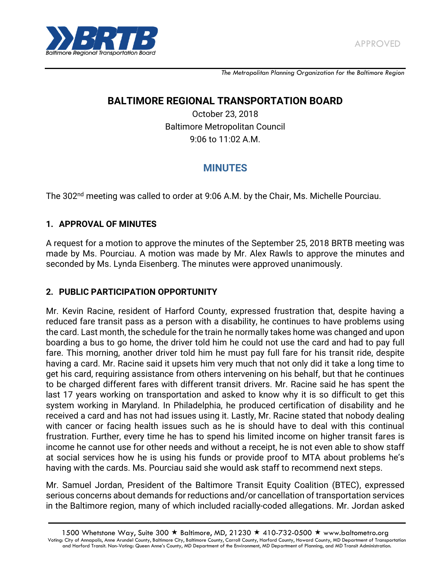

*The Metropolitan Planning Organization for the Baltimore Region*

## **BALTIMORE REGIONAL TRANSPORTATION BOARD**

October 23, 2018 Baltimore Metropolitan Council 9:06 to 11:02 A.M.

# **MINUTES**

The 302<sup>nd</sup> meeting was called to order at 9:06 A.M. by the Chair, Ms. Michelle Pourciau.

#### **1. APPROVAL OF MINUTES**

A request for a motion to approve the minutes of the September 25, 2018 BRTB meeting was made by Ms. Pourciau. A motion was made by Mr. Alex Rawls to approve the minutes and seconded by Ms. Lynda Eisenberg. The minutes were approved unanimously.

#### **2. PUBLIC PARTICIPATION OPPORTUNITY**

Mr. Kevin Racine, resident of Harford County, expressed frustration that, despite having a reduced fare transit pass as a person with a disability, he continues to have problems using the card. Last month, the schedule for the train he normally takes home was changed and upon boarding a bus to go home, the driver told him he could not use the card and had to pay full fare. This morning, another driver told him he must pay full fare for his transit ride, despite having a card. Mr. Racine said it upsets him very much that not only did it take a long time to get his card, requiring assistance from others intervening on his behalf, but that he continues to be charged different fares with different transit drivers. Mr. Racine said he has spent the last 17 years working on transportation and asked to know why it is so difficult to get this system working in Maryland. In Philadelphia, he produced certification of disability and he received a card and has not had issues using it. Lastly, Mr. Racine stated that nobody dealing with cancer or facing health issues such as he is should have to deal with this continual frustration. Further, every time he has to spend his limited income on higher transit fares is income he cannot use for other needs and without a receipt, he is not even able to show staff at social services how he is using his funds or provide proof to MTA about problems he's having with the cards. Ms. Pourciau said she would ask staff to recommend next steps.

Mr. Samuel Jordan, President of the Baltimore Transit Equity Coalition (BTEC), expressed serious concerns about demands for reductions and/or cancellation of transportation services in the Baltimore region, many of which included racially-coded allegations. Mr. Jordan asked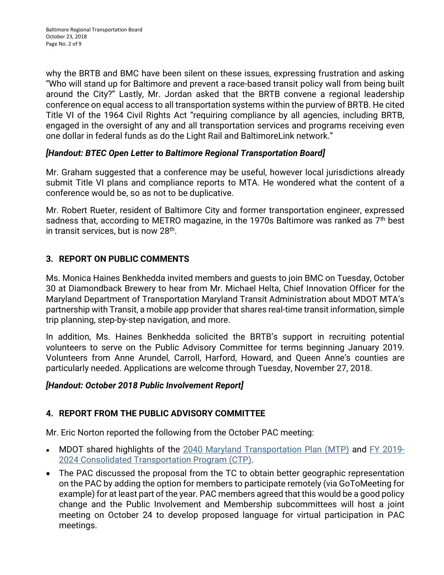why the BRTB and BMC have been silent on these issues, expressing frustration and asking "Who will stand up for Baltimore and prevent a race-based transit policy wall from being built around the City?" Lastly, Mr. Jordan asked that the BRTB convene a regional leadership conference on equal access to all transportation systems within the purview of BRTB. He cited Title VI of the 1964 Civil Rights Act "requiring compliance by all agencies, including BRTB, engaged in the oversight of any and all transportation services and programs receiving even one dollar in federal funds as do the Light Rail and BaltimoreLink network."

### *[Handout: BTEC Open Letter to Baltimore Regional Transportation Board]*

Mr. Graham suggested that a conference may be useful, however local jurisdictions already submit Title VI plans and compliance reports to MTA. He wondered what the content of a conference would be, so as not to be duplicative.

Mr. Robert Rueter, resident of Baltimore City and former transportation engineer, expressed sadness that, according to METRO magazine, in the 1970s Baltimore was ranked as 7<sup>th</sup> best in transit services, but is now 28<sup>th</sup>.

## **3. REPORT ON PUBLIC COMMENTS**

Ms. Monica Haines Benkhedda invited members and guests to join BMC on Tuesday, October 30 at Diamondback Brewery to hear from Mr. Michael Helta, Chief Innovation Officer for the Maryland Department of Transportation Maryland Transit Administration about MDOT MTA's partnership with Transit, a mobile app provider that shares real-time transit information, simple trip planning, step-by-step navigation, and more.

In addition, Ms. Haines Benkhedda solicited the BRTB's support in recruiting potential volunteers to serve on the Public Advisory Committee for terms beginning January 2019. Volunteers from Anne Arundel, Carroll, Harford, Howard, and Queen Anne's counties are particularly needed. Applications are welcome through Tuesday, November 27, 2018.

#### *[Handout: October 2018 Public Involvement Report]*

## **4. REPORT FROM THE PUBLIC ADVISORY COMMITTEE**

Mr. Eric Norton reported the following from the October PAC meeting:

- MDOT shared highlights of the [2040 Maryland Transportation Plan \(MTP\)](http://www.mdot.maryland.gov/newMDOT/Planning/Maryland_Transportation_Plan/Index.html) and [FY 2019-](http://www.mdot.maryland.gov/newMDOT/Planning/CTP/Index.html)  $\bullet$ [2024 Consolidated Transportation Program \(CTP\).](http://www.mdot.maryland.gov/newMDOT/Planning/CTP/Index.html)
- The PAC discussed the proposal from the TC to obtain better geographic representation  $\bullet$ on the PAC by adding the option for members to participate remotely (via GoToMeeting for example) for at least part of the year. PAC members agreed that this would be a good policy change and the Public Involvement and Membership subcommittees will host a joint meeting on October 24 to develop proposed language for virtual participation in PAC meetings.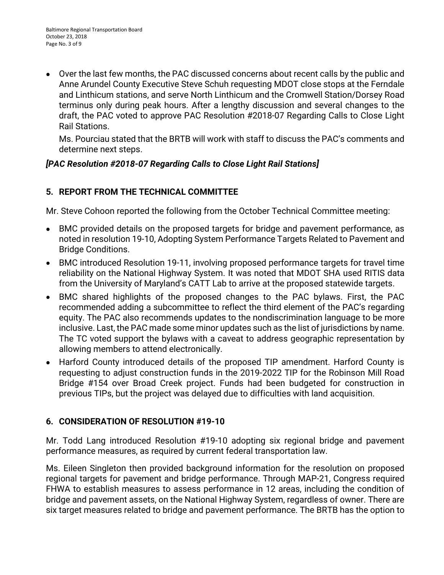Over the last few months, the PAC discussed concerns about recent calls by the public and Anne Arundel County Executive Steve Schuh requesting MDOT close stops at the Ferndale and Linthicum stations, and serve North Linthicum and the Cromwell Station/Dorsey Road terminus only during peak hours. After a lengthy discussion and several changes to the draft, the PAC voted to approve PAC Resolution #2018‐07 Regarding Calls to Close Light Rail Stations.

Ms. Pourciau stated that the BRTB will work with staff to discuss the PAC's comments and determine next steps.

### *[PAC Resolution #2018‐07 Regarding Calls to Close Light Rail Stations]*

## **5. REPORT FROM THE TECHNICAL COMMITTEE**

Mr. Steve Cohoon reported the following from the October Technical Committee meeting:

- BMC provided details on the proposed targets for bridge and pavement performance, as  $\bullet$ noted in resolution 19-10, Adopting System Performance Targets Related to Pavement and Bridge Conditions.
- BMC introduced Resolution 19-11, involving proposed performance targets for travel time  $\bullet$ reliability on the National Highway System. It was noted that MDOT SHA used RITIS data from the University of Maryland's CATT Lab to arrive at the proposed statewide targets.
- BMC shared highlights of the proposed changes to the PAC bylaws. First, the PAC  $\bullet$ recommended adding a subcommittee to reflect the third element of the PAC's regarding equity. The PAC also recommends updates to the nondiscrimination language to be more inclusive. Last, the PAC made some minor updates such as the list of jurisdictions by name. The TC voted support the bylaws with a caveat to address geographic representation by allowing members to attend electronically.
- Harford County introduced details of the proposed TIP amendment. Harford County is  $\bullet$ requesting to adjust construction funds in the 2019-2022 TIP for the Robinson Mill Road Bridge #154 over Broad Creek project. Funds had been budgeted for construction in previous TIPs, but the project was delayed due to difficulties with land acquisition.

## **6. CONSIDERATION OF RESOLUTION #19-10**

Mr. Todd Lang introduced Resolution #19-10 adopting six regional bridge and pavement performance measures, as required by current federal transportation law.

Ms. Eileen Singleton then provided background information for the resolution on proposed regional targets for pavement and bridge performance. Through MAP-21, Congress required FHWA to establish measures to assess performance in 12 areas, including the condition of bridge and pavement assets, on the National Highway System, regardless of owner. There are six target measures related to bridge and pavement performance. The BRTB has the option to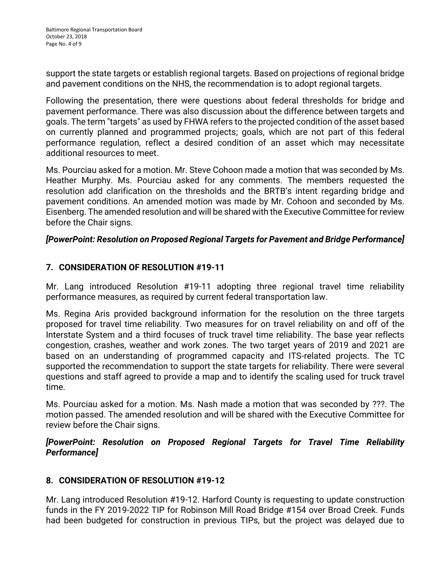support the state targets or establish regional targets. Based on projections of regional bridge and pavement conditions on the NHS, the recommendation is to adopt regional targets.

Following the presentation, there were questions about federal thresholds for bridge and pavement performance. There was also discussion about the difference between targets and goals. The term "targets" as used by FHWA refers to the projected condition of the asset based on currently planned and programmed projects; goals, which are not part of this federal performance regulation, reflect a desired condition of an asset which may necessitate additional resources to meet.

Ms. Pourciau asked for a motion. Mr. Steve Cohoon made a motion that was seconded by Ms. Heather Murphy. Ms. Pourciau asked for any comments. The members requested the resolution add clarification on the thresholds and the BRTB's intent regarding bridge and pavement conditions. An amended motion was made by Mr. Cohoon and seconded by Ms. Eisenberg. The amended resolution and will be shared with the Executive Committee for review before the Chair signs.

#### *[PowerPoint: Resolution on Proposed Regional Targets for Pavement and Bridge Performance]*

#### **7. CONSIDERATION OF RESOLUTION #19-11**

Mr. Lang introduced Resolution #19-11 adopting three regional travel time reliability performance measures, as required by current federal transportation law.

Ms. Regina Aris provided background information for the resolution on the three targets proposed for travel time reliability. Two measures for on travel reliability on and off of the Interstate System and a third focuses of truck travel time reliability. The base year reflects congestion, crashes, weather and work zones. The two target years of 2019 and 2021 are based on an understanding of programmed capacity and ITS-related projects. The TC supported the recommendation to support the state targets for reliability. There were several questions and staff agreed to provide a map and to identify the scaling used for truck travel time.

Ms. Pourciau asked for a motion. Ms. Nash made a motion that was seconded by ???. The motion passed. The amended resolution and will be shared with the Executive Committee for review before the Chair signs.

*[PowerPoint: Resolution on Proposed Regional Targets for Travel Time Reliability Performance]*

#### **8. CONSIDERATION OF RESOLUTION #19-12**

Mr. Lang introduced Resolution #19-12. Harford County is requesting to update construction funds in the FY 2019-2022 TIP for Robinson Mill Road Bridge #154 over Broad Creek. Funds had been budgeted for construction in previous TIPs, but the project was delayed due to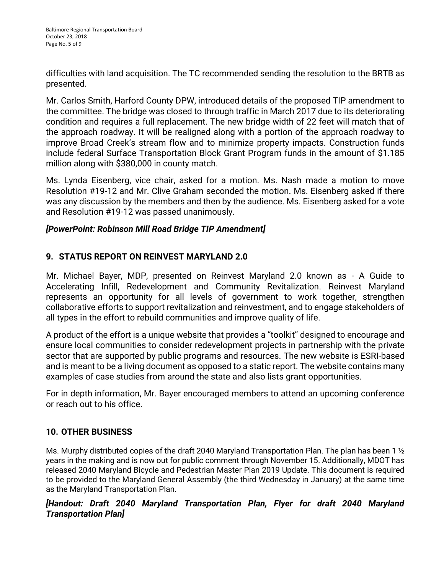difficulties with land acquisition. The TC recommended sending the resolution to the BRTB as presented.

Mr. Carlos Smith, Harford County DPW, introduced details of the proposed TIP amendment to the committee. The bridge was closed to through traffic in March 2017 due to its deteriorating condition and requires a full replacement. The new bridge width of 22 feet will match that of the approach roadway. It will be realigned along with a portion of the approach roadway to improve Broad Creek's stream flow and to minimize property impacts. Construction funds include federal Surface Transportation Block Grant Program funds in the amount of \$1.185 million along with \$380,000 in county match.

Ms. Lynda Eisenberg, vice chair, asked for a motion. Ms. Nash made a motion to move Resolution #19-12 and Mr. Clive Graham seconded the motion. Ms. Eisenberg asked if there was any discussion by the members and then by the audience. Ms. Eisenberg asked for a vote and Resolution #19-12 was passed unanimously.

#### *[PowerPoint: Robinson Mill Road Bridge TIP Amendment]*

### **9. STATUS REPORT ON REINVEST MARYLAND 2.0**

Mr. Michael Bayer, MDP, presented on Reinvest Maryland 2.0 known as - A Guide to Accelerating Infill, Redevelopment and Community Revitalization. [Reinvest Maryland](https://apps.planning.maryland.gov/reinvestmd/)  represents an opportunity for all levels of government to work together, strengthen collaborative efforts to support revitalization and reinvestment, and to engage stakeholders of all types in the effort to rebuild communities and improve quality of life.

A product of the effort is a unique [website](https://apps.planning.maryland.gov/reinvestmd/) that provides a "toolkit" designed to encourage and ensure local communities to consider redevelopment projects in partnership with the private sector that are supported by public programs and resources. The new website is ESRI-based and is meant to be a living document as opposed to a static report. The website contains many examples of case studies from around the state and also lists grant opportunities.

For in depth information, Mr. Bayer encouraged members to attend an upcoming conference or reach out to his office.

## **10. OTHER BUSINESS**

Ms. Murphy distributed copies of the draft 2040 Maryland Transportation Plan. The plan has been 1 <sup>1</sup>/<sub>2</sub> years in the making and is now out for public comment through November 15. Additionally, MDOT has released 2040 Maryland Bicycle and Pedestrian Master Plan 2019 Update. This document is required to be provided to the Maryland General Assembly (the third Wednesday in January) at the same time as the Maryland Transportation Plan.

### *[Handout: Draft 2040 Maryland Transportation Plan, Flyer for draft 2040 Maryland Transportation Plan]*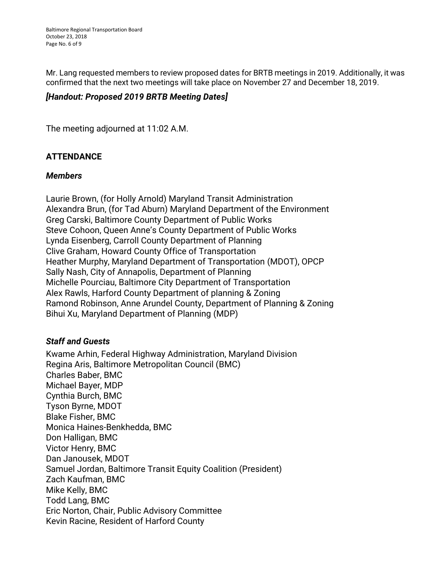Mr. Lang requested members to review proposed dates for BRTB meetings in 2019. Additionally, it was confirmed that the next two meetings will take place on November 27 and December 18, 2019.

#### *[Handout: Proposed 2019 BRTB Meeting Dates]*

The meeting adjourned at 11:02 A.M.

#### **ATTENDANCE**

#### *Members*

Laurie Brown, (for Holly Arnold) Maryland Transit Administration Alexandra Brun, (for Tad Aburn) Maryland Department of the Environment Greg Carski, Baltimore County Department of Public Works Steve Cohoon, Queen Anne's County Department of Public Works Lynda Eisenberg, Carroll County Department of Planning Clive Graham, Howard County Office of Transportation Heather Murphy, Maryland Department of Transportation (MDOT), OPCP Sally Nash, City of Annapolis, Department of Planning Michelle Pourciau, Baltimore City Department of Transportation Alex Rawls, Harford County Department of planning & Zoning Ramond Robinson, Anne Arundel County, Department of Planning & Zoning Bihui Xu, Maryland Department of Planning (MDP)

#### *Staff and Guests*

Kwame Arhin, Federal Highway Administration, Maryland Division Regina Aris, Baltimore Metropolitan Council (BMC) Charles Baber, BMC Michael Bayer, MDP Cynthia Burch, BMC Tyson Byrne, MDOT Blake Fisher, BMC Monica Haines-Benkhedda, BMC Don Halligan, BMC Victor Henry, BMC Dan Janousek, MDOT Samuel Jordan, Baltimore Transit Equity Coalition (President) Zach Kaufman, BMC Mike Kelly, BMC Todd Lang, BMC Eric Norton, Chair, Public Advisory Committee Kevin Racine, Resident of Harford County